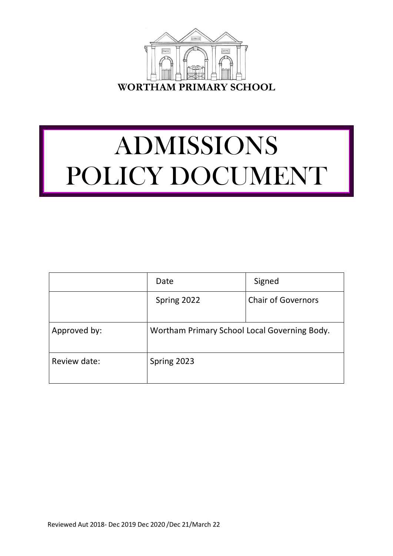

# ADMISSIONS POLICY DOCUMENT

|              | Date                                         | Signed                    |
|--------------|----------------------------------------------|---------------------------|
|              | Spring 2022                                  | <b>Chair of Governors</b> |
| Approved by: | Wortham Primary School Local Governing Body. |                           |
| Review date: | Spring 2023                                  |                           |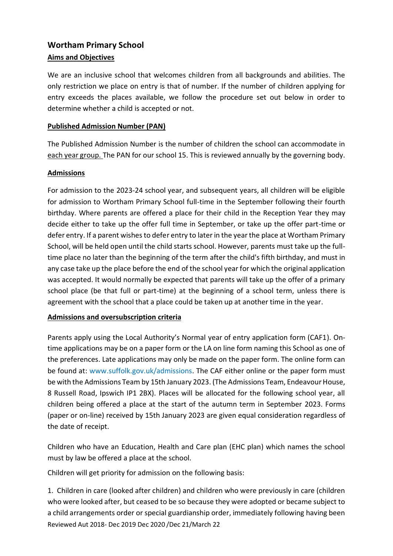## **Wortham Primary School Aims and Objectives**

We are an inclusive school that welcomes children from all backgrounds and abilities. The only restriction we place on entry is that of number. If the number of children applying for entry exceeds the places available, we follow the procedure set out below in order to determine whether a child is accepted or not.

## **Published Admission Number (PAN)**

The Published Admission Number is the number of children the school can accommodate in each year group. The PAN for our school 15. This is reviewed annually by the governing body.

## **Admissions**

For admission to the 2023-24 school year, and subsequent years, all children will be eligible for admission to Wortham Primary School full-time in the September following their fourth birthday. Where parents are offered a place for their child in the Reception Year they may decide either to take up the offer full time in September, or take up the offer part-time or defer entry. If a parent wishes to defer entry to later in the year the place at Wortham Primary School, will be held open until the child starts school. However, parents must take up the fulltime place no later than the beginning of the term after the child's fifth birthday, and must in any case take up the place before the end of the school year for which the original application was accepted. It would normally be expected that parents will take up the offer of a primary school place (be that full or part-time) at the beginning of a school term, unless there is agreement with the school that a place could be taken up at another time in the year.

#### **Admissions and oversubscription criteria**

Parents apply using the Local Authority's Normal year of entry application form (CAF1). Ontime applications may be on a paper form or the LA on line form naming this School as one of the preferences. Late applications may only be made on the paper form. The online form can be found at: www.suffolk.gov.uk/admissions. The CAF either online or the paper form must be with the Admissions Team by 15th January 2023. (The Admissions Team, Endeavour House, 8 Russell Road, Ipswich IP1 2BX). Places will be allocated for the following school year, all children being offered a place at the start of the autumn term in September 2023. Forms (paper or on-line) received by 15th January 2023 are given equal consideration regardless of the date of receipt.

Children who have an Education, Health and Care plan (EHC plan) which names the school must by law be offered a place at the school.

Children will get priority for admission on the following basis:

Reviewed Aut 2018- Dec 2019 Dec 2020 /Dec 21/March 22 1. Children in care (looked after children) and children who were previously in care (children who were looked after, but ceased to be so because they were adopted or became subject to a child arrangements order or special guardianship order, immediately following having been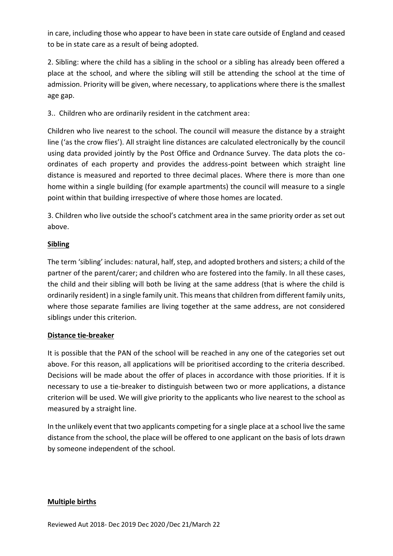in care, including those who appear to have been in state care outside of England and ceased to be in state care as a result of being adopted.

2. Sibling: where the child has a sibling in the school or a sibling has already been offered a place at the school, and where the sibling will still be attending the school at the time of admission. Priority will be given, where necessary, to applications where there is the smallest age gap.

3.. Children who are ordinarily resident in the catchment area:

Children who live nearest to the school. The council will measure the distance by a straight line ('as the crow flies'). All straight line distances are calculated electronically by the council using data provided jointly by the Post Office and Ordnance Survey. The data plots the coordinates of each property and provides the address-point between which straight line distance is measured and reported to three decimal places. Where there is more than one home within a single building (for example apartments) the council will measure to a single point within that building irrespective of where those homes are located.

3. Children who live outside the school's catchment area in the same priority order as set out above.

## **Sibling**

The term 'sibling' includes: natural, half, step, and adopted brothers and sisters; a child of the partner of the parent/carer; and children who are fostered into the family. In all these cases, the child and their sibling will both be living at the same address (that is where the child is ordinarily resident) in a single family unit. This means that children from different family units, where those separate families are living together at the same address, are not considered siblings under this criterion.

## **Distance tie-breaker**

It is possible that the PAN of the school will be reached in any one of the categories set out above. For this reason, all applications will be prioritised according to the criteria described. Decisions will be made about the offer of places in accordance with those priorities. If it is necessary to use a tie-breaker to distinguish between two or more applications, a distance criterion will be used. We will give priority to the applicants who live nearest to the school as measured by a straight line.

In the unlikely event that two applicants competing for a single place at a school live the same distance from the school, the place will be offered to one applicant on the basis of lots drawn by someone independent of the school.

## **Multiple births**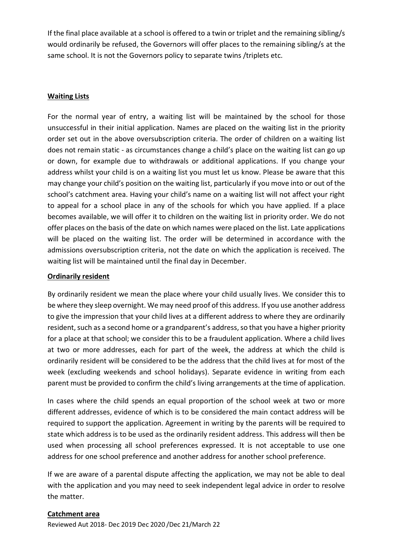If the final place available at a school is offered to a twin or triplet and the remaining sibling/s would ordinarily be refused, the Governors will offer places to the remaining sibling/s at the same school. It is not the Governors policy to separate twins /triplets etc.

#### **Waiting Lists**

For the normal year of entry, a waiting list will be maintained by the school for those unsuccessful in their initial application. Names are placed on the waiting list in the priority order set out in the above oversubscription criteria. The order of children on a waiting list does not remain static - as circumstances change a child's place on the waiting list can go up or down, for example due to withdrawals or additional applications. If you change your address whilst your child is on a waiting list you must let us know. Please be aware that this may change your child's position on the waiting list, particularly if you move into or out of the school's catchment area. Having your child's name on a waiting list will not affect your right to appeal for a school place in any of the schools for which you have applied. If a place becomes available, we will offer it to children on the waiting list in priority order. We do not offer places on the basis of the date on which names were placed on the list. Late applications will be placed on the waiting list. The order will be determined in accordance with the admissions oversubscription criteria, not the date on which the application is received. The waiting list will be maintained until the final day in December.

#### **Ordinarily resident**

By ordinarily resident we mean the place where your child usually lives. We consider this to be where they sleep overnight. We may need proof of this address. If you use another address to give the impression that your child lives at a different address to where they are ordinarily resident, such as a second home or a grandparent's address, so that you have a higher priority for a place at that school; we consider this to be a fraudulent application. Where a child lives at two or more addresses, each for part of the week, the address at which the child is ordinarily resident will be considered to be the address that the child lives at for most of the week (excluding weekends and school holidays). Separate evidence in writing from each parent must be provided to confirm the child's living arrangements at the time of application.

In cases where the child spends an equal proportion of the school week at two or more different addresses, evidence of which is to be considered the main contact address will be required to support the application. Agreement in writing by the parents will be required to state which address is to be used as the ordinarily resident address. This address will then be used when processing all school preferences expressed. It is not acceptable to use one address for one school preference and another address for another school preference.

If we are aware of a parental dispute affecting the application, we may not be able to deal with the application and you may need to seek independent legal advice in order to resolve the matter.

#### **Catchment area**

Reviewed Aut 2018- Dec 2019 Dec 2020 /Dec 21/March 22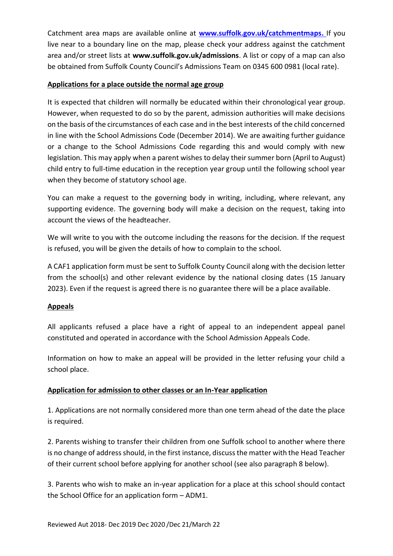Catchment area maps are available online at **www.suffolk.gov.uk/catchmentmaps.** If you live near to a boundary line on the map, please check your address against the catchment area and/or street lists at **www.suffolk.gov.uk/admissions**. A list or copy of a map can also be obtained from Suffolk County Council's Admissions Team on 0345 600 0981 (local rate).

## **Applications for a place outside the normal age group**

It is expected that children will normally be educated within their chronological year group. However, when requested to do so by the parent, admission authorities will make decisions on the basis of the circumstances of each case and in the best interests of the child concerned in line with the School Admissions Code (December 2014). We are awaiting further guidance or a change to the School Admissions Code regarding this and would comply with new legislation. This may apply when a parent wishes to delay their summer born (April to August) child entry to full-time education in the reception year group until the following school year when they become of statutory school age.

You can make a request to the governing body in writing, including, where relevant, any supporting evidence. The governing body will make a decision on the request, taking into account the views of the headteacher.

We will write to you with the outcome including the reasons for the decision. If the request is refused, you will be given the details of how to complain to the school.

A CAF1 application form must be sent to Suffolk County Council along with the decision letter from the school(s) and other relevant evidence by the national closing dates (15 January 2023). Even if the request is agreed there is no guarantee there will be a place available.

#### **Appeals**

All applicants refused a place have a right of appeal to an independent appeal panel constituted and operated in accordance with the School Admission Appeals Code.

Information on how to make an appeal will be provided in the letter refusing your child a school place.

## **Application for admission to other classes or an In-Year application**

1. Applications are not normally considered more than one term ahead of the date the place is required.

2. Parents wishing to transfer their children from one Suffolk school to another where there is no change of address should, in the first instance, discuss the matter with the Head Teacher of their current school before applying for another school (see also paragraph 8 below).

3. Parents who wish to make an in-year application for a place at this school should contact the School Office for an application form – ADM1.